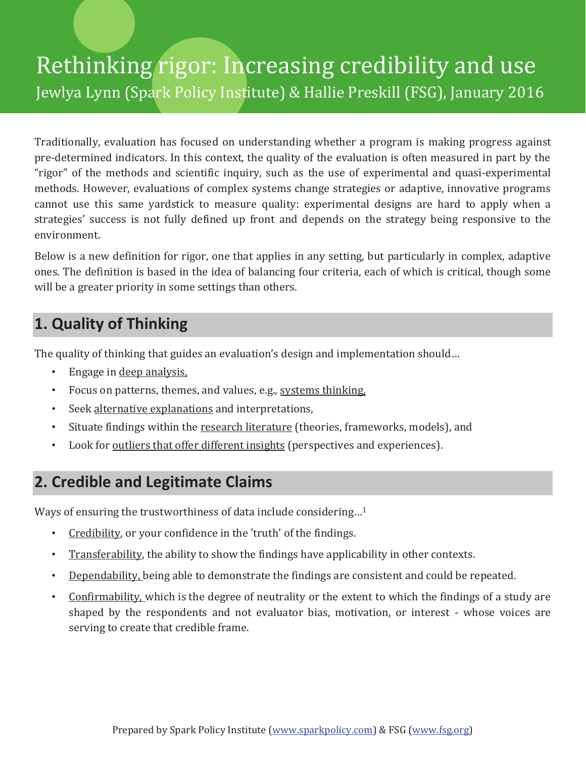# Rethinking rigor: Increasing credibility and use Jewlya Lynn (Spark Policy Institute) & Hallie Preskill (FSG), January 2016

Traditionally, evaluation has focused on understanding whether a program is making progress against pre-determined indicators. In this context, the quality of the evaluation is often measured in part by the "rigor" of the methods and scientific inquiry, such as the use of experimental and quasi-experimental methods. However, evaluations of complex systems change strategies or adaptive, innovative programs cannot use this same yardstick to measure quality: experimental designs are hard to apply when a strategies' success is not fully defined up front and depends on the strategy being responsive to the environment.

Below is a new definition for rigor, one that applies in any setting, but particularly in complex, adaptive ones. The definition is based in the idea of balancing four criteria, each of which is critical, though some will be a greater priority in some settings than others.

#### **1. Quality of Thinking**

The quality of thinking that guides an evaluation's design and implementation should...

- Engage in deep analysis.
- Focus on patterns, themes, and values, e.g., systems thinking,
- Seek alternative explanations and interpretations,
- Situate findings within the research literature (theories, frameworks, models), and
- Look for <u>outliers that offer different insights</u> (perspectives and experiences).

### **2. Credible and Legitimate Claims**

Ways of ensuring the trustworthiness of data include considering...<sup>1</sup>

- Credibility, or your confidence in the 'truth' of the findings.
- Transferability, the ability to show the findings have applicability in other contexts.
- Dependability, being able to demonstrate the findings are consistent and could be repeated.
- Confirmability, which is the degree of neutrality or the extent to which the findings of a study are shaped by the respondents and not evaluator bias, motivation, or interest - whose voices are serving to create that credible frame.